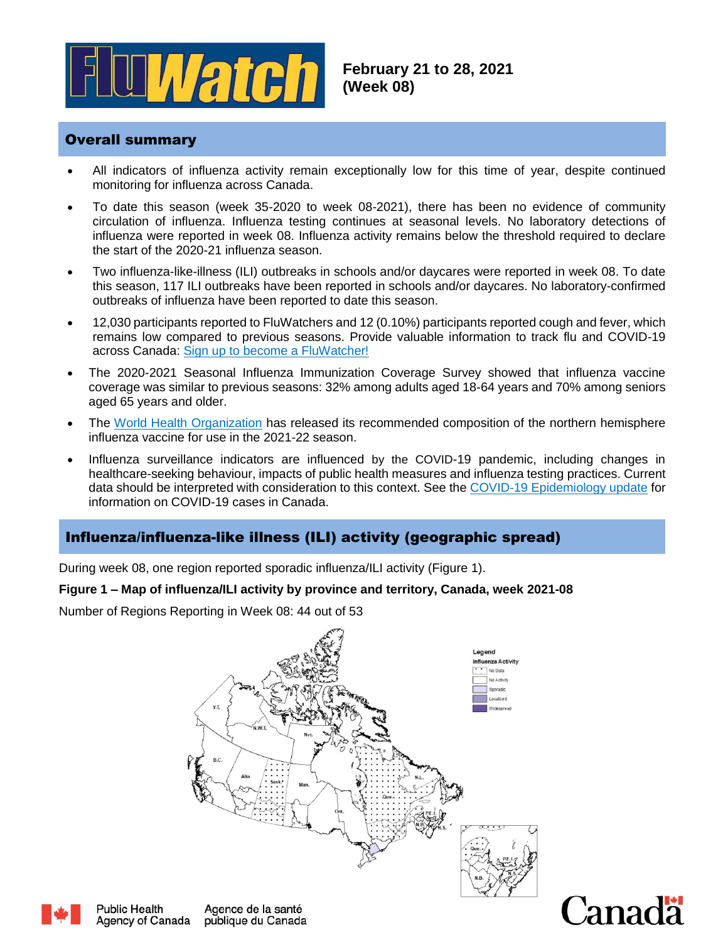

## Overall summary

- All indicators of influenza activity remain exceptionally low for this time of year, despite continued monitoring for influenza across Canada.
- To date this season (week 35-2020 to week 08-2021), there has been no evidence of community circulation of influenza. Influenza testing continues at seasonal levels. No laboratory detections of influenza were reported in week 08. Influenza activity remains below the threshold required to declare the start of the 2020-21 influenza season.
- Two influenza-like-illness (ILI) outbreaks in schools and/or daycares were reported in week 08. To date this season, 117 ILI outbreaks have been reported in schools and/or daycares. No laboratory-confirmed outbreaks of influenza have been reported to date this season.
- 12,030 participants reported to FluWatchers and 12 (0.10%) participants reported cough and fever, which remains low compared to previous seasons. Provide valuable information to track flu and COVID-19 across Canada: [Sign up to become a FluWatcher!](https://www.canada.ca/en/public-health/services/diseases/flu-influenza/fluwatcher.html)
- The 2020-2021 Seasonal Influenza Immunization Coverage Survey showed that influenza vaccine coverage was similar to previous seasons: 32% among adults aged 18-64 years and 70% among seniors aged 65 years and older.
- The [World Health Organization](https://www.who.int/influenza/vaccines/virus/recommendations/2021-22_north/en/) has released its recommended composition of the northern hemisphere influenza vaccine for use in the 2021-22 season.
- Influenza surveillance indicators are influenced by the COVID-19 pandemic, including changes in healthcare-seeking behaviour, impacts of public health measures and influenza testing practices. Current data should be interpreted with consideration to this context. See the [COVID-19 Epidemiology update](https://health-infobase.canada.ca/covid-19/epidemiological-summary-covid-19-cases.html?topic=tilelink) for information on COVID-19 cases in Canada.

# Influenza/influenza-like illness (ILI) activity (geographic spread)

During week 08, one region reported sporadic influenza/ILI activity (Figure 1).

## **Figure 1 – Map of influenza/ILI activity by province and territory, Canada, week 2021-08**

Number of Regions Reporting in Week 08: 44 out of 53





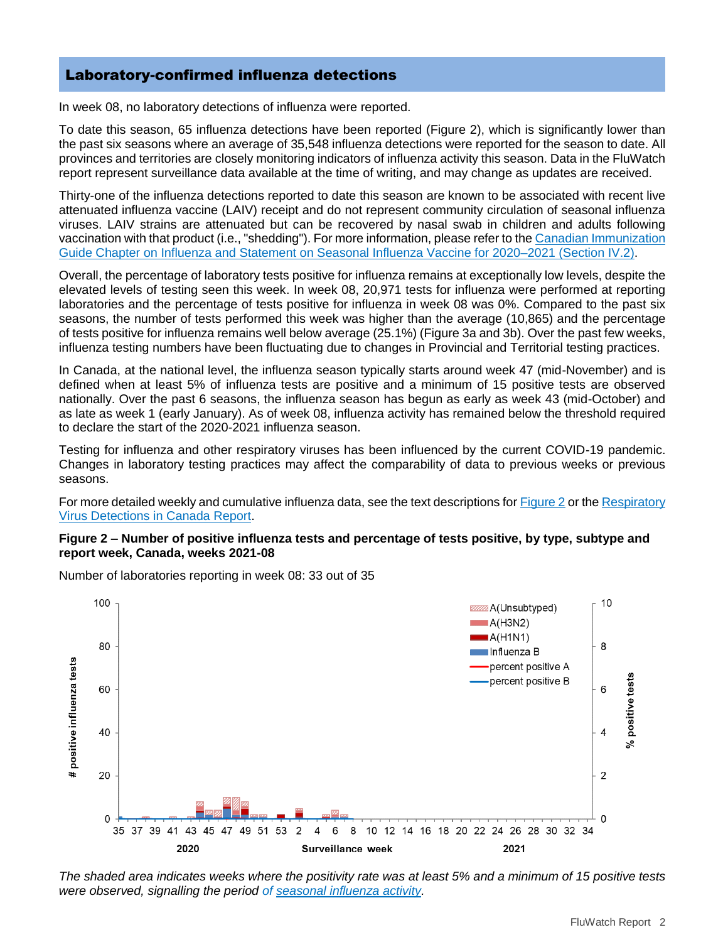## Laboratory-confirmed influenza detections

In week 08, no laboratory detections of influenza were reported.

To date this season, 65 influenza detections have been reported (Figure 2), which is significantly lower than the past six seasons where an average of 35,548 influenza detections were reported for the season to date. All provinces and territories are closely monitoring indicators of influenza activity this season. Data in the FluWatch report represent surveillance data available at the time of writing, and may change as updates are received.

Thirty-one of the influenza detections reported to date this season are known to be associated with recent live attenuated influenza vaccine (LAIV) receipt and do not represent community circulation of seasonal influenza viruses. LAIV strains are attenuated but can be recovered by nasal swab in children and adults following vaccination with that product (i.e., "shedding"). For more information, please refer to the [Canadian Immunization](https://www.canada.ca/en/public-health/services/publications/vaccines-immunization/canadian-immunization-guide-statement-seasonal-influenza-vaccine-2020-2021.html#IV2)  [Guide Chapter on Influenza and Statement on Seasonal Influenza Vaccine for 2020–2021 \(Section IV.2\).](https://www.canada.ca/en/public-health/services/publications/vaccines-immunization/canadian-immunization-guide-statement-seasonal-influenza-vaccine-2020-2021.html#IV2)

Overall, the percentage of laboratory tests positive for influenza remains at exceptionally low levels, despite the elevated levels of testing seen this week. In week 08, 20,971 tests for influenza were performed at reporting laboratories and the percentage of tests positive for influenza in week 08 was 0%. Compared to the past six seasons, the number of tests performed this week was higher than the average (10,865) and the percentage of tests positive for influenza remains well below average (25.1%) (Figure 3a and 3b). Over the past few weeks, influenza testing numbers have been fluctuating due to changes in Provincial and Territorial testing practices.

In Canada, at the national level, the influenza season typically starts around week 47 (mid-November) and is defined when at least 5% of influenza tests are positive and a minimum of 15 positive tests are observed nationally. Over the past 6 seasons, the influenza season has begun as early as week 43 (mid-October) and as late as week 1 (early January). As of week 08, influenza activity has remained below the threshold required to declare the start of the 2020-2021 influenza season.

Testing for influenza and other respiratory viruses has been influenced by the current COVID-19 pandemic. Changes in laboratory testing practices may affect the comparability of data to previous weeks or previous seasons.

For more detailed weekly and cumulative influenza data, see the text descriptions fo[r Figure 2](https://www.canada.ca/en/public-health/services/diseases/flu-influenza/influenza-surveillance/weekly-influenza-reports.html) or the [Respiratory](https://www.canada.ca/en/public-health/services/surveillance/respiratory-virus-detections-canada.html)  [Virus Detections in Canada Report.](https://www.canada.ca/en/public-health/services/surveillance/respiratory-virus-detections-canada.html)

#### **Figure 2 – Number of positive influenza tests and percentage of tests positive, by type, subtype and report week, Canada, weeks 2021-08**

Number of laboratories reporting in week 08: 33 out of 35



*The shaded area indicates weeks where the positivity rate was at least 5% and a minimum of 15 positive tests were observed, signalling the period of [seasonal influenza activity.](https://journals.plos.org/plosone/article?id=10.1371/journal.pone.0141776)*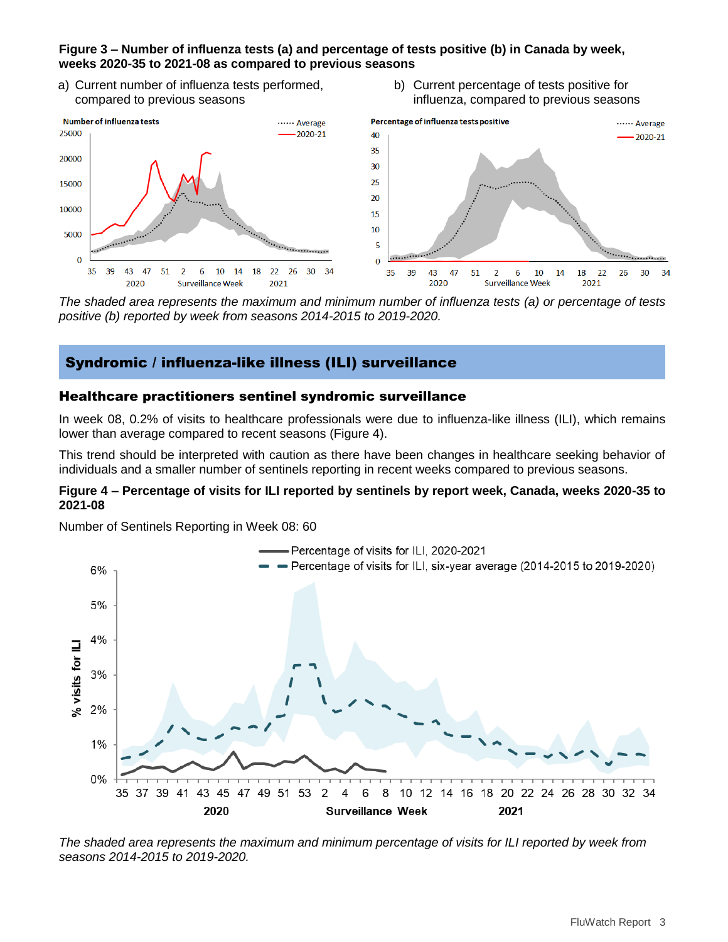### **Figure 3 – Number of influenza tests (a) and percentage of tests positive (b) in Canada by week, weeks 2020-35 to 2021-08 as compared to previous seasons**

- a) Current number of influenza tests performed, compared to previous seasons
- b) Current percentage of tests positive for influenza, compared to previous seasons



*The shaded area represents the maximum and minimum number of influenza tests (a) or percentage of tests positive (b) reported by week from seasons 2014-2015 to 2019-2020.*

# Syndromic / influenza-like illness (ILI) surveillance

## Healthcare practitioners sentinel syndromic surveillance

In week 08, 0.2% of visits to healthcare professionals were due to influenza-like illness (ILI), which remains lower than average compared to recent seasons (Figure 4).

This trend should be interpreted with caution as there have been changes in healthcare seeking behavior of individuals and a smaller number of sentinels reporting in recent weeks compared to previous seasons.

#### **Figure 4 – Percentage of visits for ILI reported by sentinels by report week, Canada, weeks 2020-35 to 2021-08**

Number of Sentinels Reporting in Week 08: 60



*The shaded area represents the maximum and minimum percentage of visits for ILI reported by week from seasons 2014-2015 to 2019-2020.*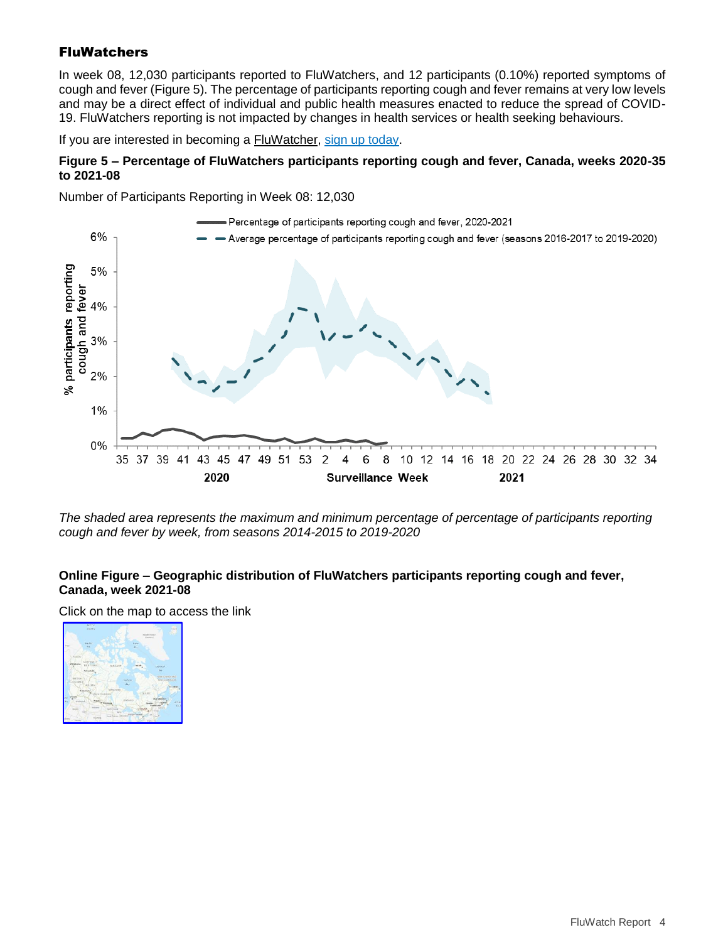## **FluWatchers**

In week 08, 12,030 participants reported to FluWatchers, and 12 participants (0.10%) reported symptoms of cough and fever (Figure 5). The percentage of participants reporting cough and fever remains at very low levels and may be a direct effect of individual and public health measures enacted to reduce the spread of COVID-19. FluWatchers reporting is not impacted by changes in health services or health seeking behaviours.

If you are interested in becoming a [FluWatcher,](https://www.canada.ca/en/public-health/services/diseases/flu-influenza/fluwatcher.html) [sign up today.](https://cnphi.canada.ca/fluWatcher/register)

#### **Figure 5 – Percentage of FluWatchers participants reporting cough and fever, Canada, weeks 2020-35 to 2021-08**

Number of Participants Reporting in Week 08: 12,030



*The shaded area represents the maximum and minimum percentage of percentage of participants reporting cough and fever by week, from seasons 2014-2015 to 2019-2020*

#### **Online Figure – Geographic distribution of FluWatchers participants reporting cough and fever, Canada, week 2021-08**

Click on the map to access the link

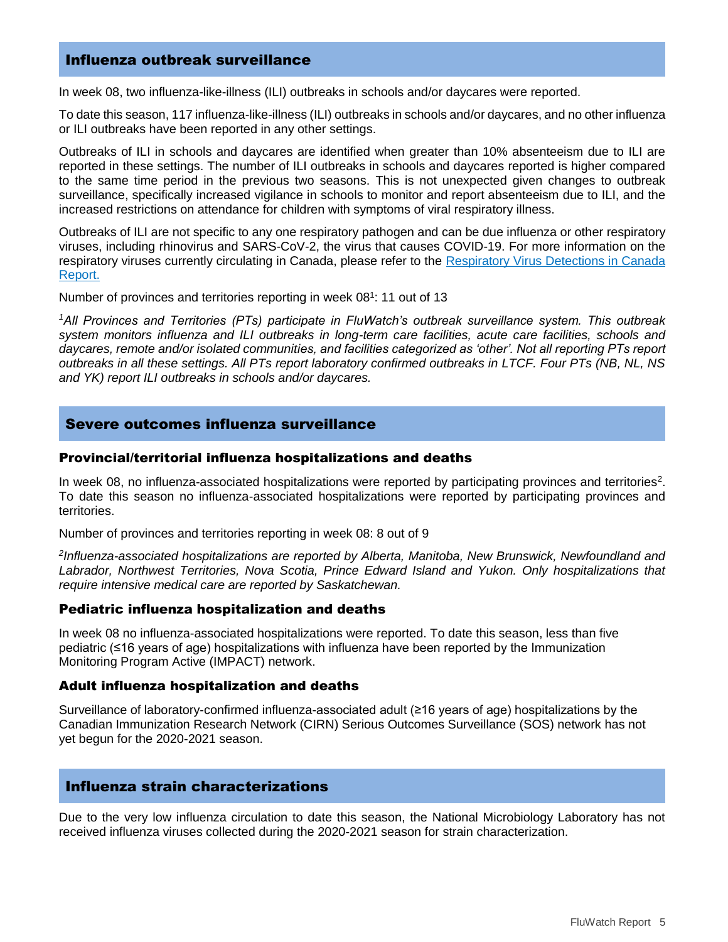### Influenza outbreak surveillance

In week 08, two influenza-like-illness (ILI) outbreaks in schools and/or daycares were reported.

To date this season, 117 influenza-like-illness (ILI) outbreaks in schools and/or daycares, and no other influenza or ILI outbreaks have been reported in any other settings.

Outbreaks of ILI in schools and daycares are identified when greater than 10% absenteeism due to ILI are reported in these settings. The number of ILI outbreaks in schools and daycares reported is higher compared to the same time period in the previous two seasons. This is not unexpected given changes to outbreak surveillance, specifically increased vigilance in schools to monitor and report absenteeism due to ILI, and the increased restrictions on attendance for children with symptoms of viral respiratory illness.

Outbreaks of ILI are not specific to any one respiratory pathogen and can be due influenza or other respiratory viruses, including rhinovirus and SARS-CoV-2, the virus that causes COVID-19. For more information on the respiratory viruses currently circulating in Canada, please refer to the [Respiratory Virus Detections in Canada](https://www.canada.ca/en/public-health/services/surveillance/respiratory-virus-detections-canada/2020-2021/week-40-ending-october-3-2020.html)  [Report.](https://www.canada.ca/en/public-health/services/surveillance/respiratory-virus-detections-canada/2020-2021/week-40-ending-october-3-2020.html)

Number of provinces and territories reporting in week 08<sup>1</sup>: 11 out of 13

*<sup>1</sup>All Provinces and Territories (PTs) participate in FluWatch's outbreak surveillance system. This outbreak system monitors influenza and ILI outbreaks in long-term care facilities, acute care facilities, schools and daycares, remote and/or isolated communities, and facilities categorized as 'other'. Not all reporting PTs report outbreaks in all these settings. All PTs report laboratory confirmed outbreaks in LTCF. Four PTs (NB, NL, NS and YK) report ILI outbreaks in schools and/or daycares.* 

#### Severe outcomes influenza surveillance

#### Provincial/territorial influenza hospitalizations and deaths

In week 08, no influenza-associated hospitalizations were reported by participating provinces and territories<sup>2</sup>. To date this season no influenza-associated hospitalizations were reported by participating provinces and territories.

Number of provinces and territories reporting in week 08: 8 out of 9

*2 Influenza-associated hospitalizations are reported by Alberta, Manitoba, New Brunswick, Newfoundland and Labrador, Northwest Territories, Nova Scotia, Prince Edward Island and Yukon. Only hospitalizations that require intensive medical care are reported by Saskatchewan.*

#### Pediatric influenza hospitalization and deaths

In week 08 no influenza-associated hospitalizations were reported. To date this season, less than five pediatric (≤16 years of age) hospitalizations with influenza have been reported by the Immunization Monitoring Program Active (IMPACT) network.

#### Adult influenza hospitalization and deaths

Surveillance of laboratory-confirmed influenza-associated adult (≥16 years of age) hospitalizations by the Canadian Immunization Research Network (CIRN) Serious Outcomes Surveillance (SOS) network has not yet begun for the 2020-2021 season.

## Influenza strain characterizations

Due to the very low influenza circulation to date this season, the National Microbiology Laboratory has not received influenza viruses collected during the 2020-2021 season for strain characterization.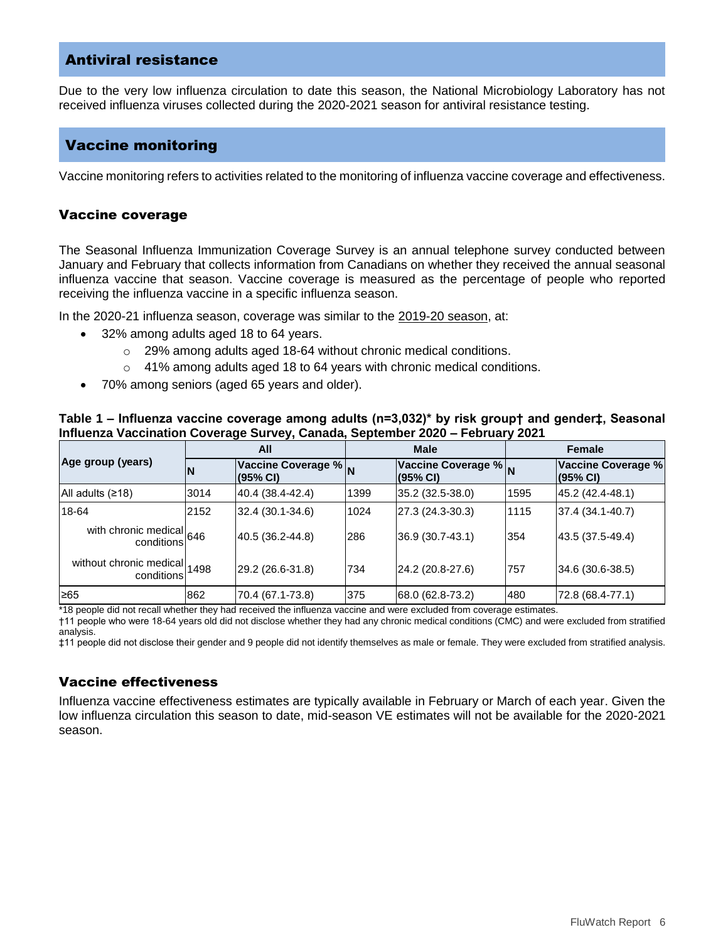## Antiviral resistance

Due to the very low influenza circulation to date this season, the National Microbiology Laboratory has not received influenza viruses collected during the 2020-2021 season for antiviral resistance testing.

## Vaccine monitoring

Vaccine monitoring refers to activities related to the monitoring of influenza vaccine coverage and effectiveness.

### Vaccine coverage

The Seasonal Influenza Immunization Coverage Survey is an annual telephone survey conducted between January and February that collects information from Canadians on whether they received the annual seasonal influenza vaccine that season. Vaccine coverage is measured as the percentage of people who reported receiving the influenza vaccine in a specific influenza season.

In the 2020-21 influenza season, coverage was similar to the [2019-20 season,](https://www.canada.ca/en/public-health/services/immunization-vaccines/vaccination-coverage/2019-2020-seasonal-influenza-flu-vaccine-coverage.html) at:

- 32% among adults aged 18 to 64 years.
	- $\circ$  29% among adults aged 18-64 without chronic medical conditions.
	- $\circ$  41% among adults aged 18 to 64 years with chronic medical conditions.
- 70% among seniors (aged 65 years and older).

#### **Table 1 – Influenza vaccine coverage among adults (n=3,032)\* by risk group† and gender‡, Seasonal Influenza Vaccination Coverage Survey, Canada, September 2020 – February 2021**

| Age group (years)            | All  |                                  | <b>Male</b> |                                  | <b>Female</b> |                                |
|------------------------------|------|----------------------------------|-------------|----------------------------------|---------------|--------------------------------|
|                              | N    | Vaccine Coverage % N<br>(95% CI) |             | Vaccine Coverage % N<br>(95% CI) |               | Vaccine Coverage %<br>(95% CI) |
| All adults $(218)$           | 3014 | 40.4 (38.4-42.4)                 | 1399        | 35.2 (32.5-38.0)                 | 1595          | 45.2 (42.4-48.1)               |
| 18-64                        | 2152 | $32.4(30.1-34.6)$                | 1024        | 27.3 (24.3-30.3)                 | 1115          | 37.4 (34.1-40.7)               |
| with chronic medical 646     |      | 40.5 (36.2-44.8)                 | 286         | 36.9 (30.7-43.1)                 | 354           | 43.5 (37.5-49.4)               |
| without chronic medical 1498 |      | 29.2 (26.6-31.8)                 | 734         | 24.2 (20.8-27.6)                 | 757           | 34.6 (30.6-38.5)               |
| ≥65                          | 862  | 70.4 (67.1-73.8)                 | 375         | 68.0 (62.8-73.2)                 | 480           | 72.8 (68.4-77.1)               |

\*18 people did not recall whether they had received the influenza vaccine and were excluded from coverage estimates.

†11 people who were 18-64 years old did not disclose whether they had any chronic medical conditions (CMC) and were excluded from stratified analysis.

‡11 people did not disclose their gender and 9 people did not identify themselves as male or female. They were excluded from stratified analysis.

## Vaccine effectiveness

Influenza vaccine effectiveness estimates are typically available in February or March of each year. Given the low influenza circulation this season to date, mid-season VE estimates will not be available for the 2020-2021 season.